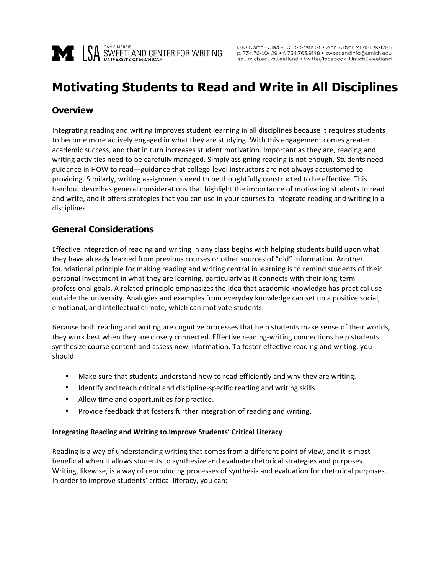

# **Motivating Students to Read and Write in All Disciplines**

## **Overview**

Integrating reading and writing improves student learning in all disciplines because it requires students to become more actively engaged in what they are studying. With this engagement comes greater academic success, and that in turn increases student motivation. Important as they are, reading and writing activities need to be carefully managed. Simply assigning reading is not enough. Students need guidance in HOW to read—guidance that college-level instructors are not always accustomed to providing. Similarly, writing assignments need to be thoughtfully constructed to be effective. This handout describes general considerations that highlight the importance of motivating students to read and write, and it offers strategies that you can use in your courses to integrate reading and writing in all disciplines.

## **General Considerations**

Effective integration of reading and writing in any class begins with helping students build upon what they have already learned from previous courses or other sources of "old" information. Another foundational principle for making reading and writing central in learning is to remind students of their personal investment in what they are learning, particularly as it connects with their long-term professional goals. A related principle emphasizes the idea that academic knowledge has practical use outside the university. Analogies and examples from everyday knowledge can set up a positive social, emotional, and intellectual climate, which can motivate students.

Because both reading and writing are cognitive processes that help students make sense of their worlds, they work best when they are closely connected. Effective reading-writing connections help students synthesize course content and assess new information. To foster effective reading and writing, you should:

- Make sure that students understand how to read efficiently and why they are writing.
- Identify and teach critical and discipline-specific reading and writing skills.
- Allow time and opportunities for practice.
- Provide feedback that fosters further integration of reading and writing.

#### **Integrating Reading and Writing to Improve Students' Critical Literacy**

Reading is a way of understanding writing that comes from a different point of view, and it is most beneficial when it allows students to synthesize and evaluate rhetorical strategies and purposes. Writing, likewise, is a way of reproducing processes of synthesis and evaluation for rhetorical purposes. In order to improve students' critical literacy, you can: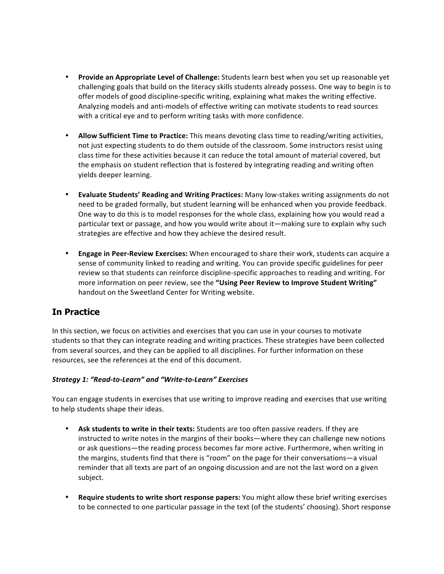- Provide an Appropriate Level of Challenge: Students learn best when you set up reasonable yet challenging goals that build on the literacy skills students already possess. One way to begin is to offer models of good discipline-specific writing, explaining what makes the writing effective. Analyzing models and anti-models of effective writing can motivate students to read sources with a critical eye and to perform writing tasks with more confidence.
- Allow Sufficient Time to Practice: This means devoting class time to reading/writing activities, not just expecting students to do them outside of the classroom. Some instructors resist using class time for these activities because it can reduce the total amount of material covered, but the emphasis on student reflection that is fostered by integrating reading and writing often yields deeper learning.
- Evaluate Students' Reading and Writing Practices: Many low-stakes writing assignments do not need to be graded formally, but student learning will be enhanced when you provide feedback. One way to do this is to model responses for the whole class, explaining how you would read a particular text or passage, and how you would write about it—making sure to explain why such strategies are effective and how they achieve the desired result.
- **Engage in Peer-Review Exercises:** When encouraged to share their work, students can acquire a sense of community linked to reading and writing. You can provide specific guidelines for peer review so that students can reinforce discipline-specific approaches to reading and writing. For more information on peer review, see the "Using Peer Review to Improve Student Writing" handout on the Sweetland Center for Writing website.

# **In Practice**

In this section, we focus on activities and exercises that you can use in your courses to motivate students so that they can integrate reading and writing practices. These strategies have been collected from several sources, and they can be applied to all disciplines. For further information on these resources, see the references at the end of this document.

### *Strategy 1: "Read-to-Learn" and "Write-to-Learn" Exercises*

You can engage students in exercises that use writing to improve reading and exercises that use writing to help students shape their ideas.

- Ask students to write in their texts: Students are too often passive readers. If they are instructed to write notes in the margins of their books—where they can challenge new notions or ask questions—the reading process becomes far more active. Furthermore, when writing in the margins, students find that there is "room" on the page for their conversations—a visual reminder that all texts are part of an ongoing discussion and are not the last word on a given subject.
- **Require students to write short response papers:** You might allow these brief writing exercises to be connected to one particular passage in the text (of the students' choosing). Short response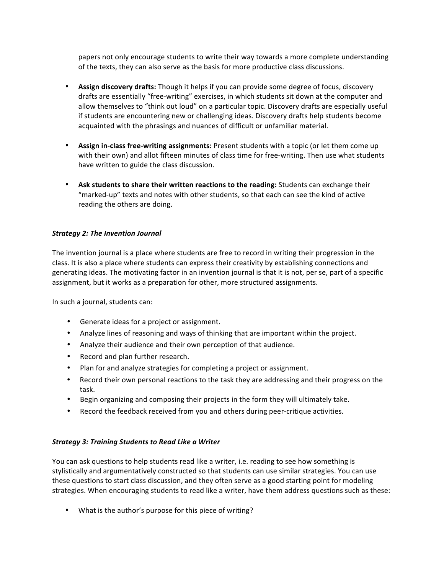papers not only encourage students to write their way towards a more complete understanding of the texts, they can also serve as the basis for more productive class discussions.

- **Assign discovery drafts:** Though it helps if you can provide some degree of focus, discovery drafts are essentially "free-writing" exercises, in which students sit down at the computer and allow themselves to "think out loud" on a particular topic. Discovery drafts are especially useful if students are encountering new or challenging ideas. Discovery drafts help students become acquainted with the phrasings and nuances of difficult or unfamiliar material.
- Assign in-class free-writing assignments: Present students with a topic (or let them come up with their own) and allot fifteen minutes of class time for free-writing. Then use what students have written to guide the class discussion.
- Ask students to share their written reactions to the reading: Students can exchange their "marked-up" texts and notes with other students, so that each can see the kind of active reading the others are doing.

#### **Strategy 2: The Invention Journal**

The invention journal is a place where students are free to record in writing their progression in the class. It is also a place where students can express their creativity by establishing connections and generating ideas. The motivating factor in an invention journal is that it is not, per se, part of a specific assignment, but it works as a preparation for other, more structured assignments.

In such a journal, students can:

- Generate ideas for a project or assignment.
- Analyze lines of reasoning and ways of thinking that are important within the project.
- Analyze their audience and their own perception of that audience.
- Record and plan further research.
- Plan for and analyze strategies for completing a project or assignment.
- Record their own personal reactions to the task they are addressing and their progress on the task.
- Begin organizing and composing their projects in the form they will ultimately take.
- Record the feedback received from you and others during peer-critique activities.

#### *Strategy 3: Training Students to Read Like a Writer*

You can ask questions to help students read like a writer, i.e. reading to see how something is stylistically and argumentatively constructed so that students can use similar strategies. You can use these questions to start class discussion, and they often serve as a good starting point for modeling strategies. When encouraging students to read like a writer, have them address questions such as these:

• What is the author's purpose for this piece of writing?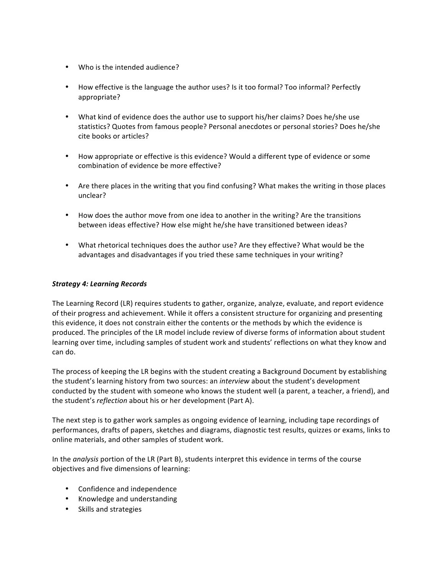- Who is the intended audience?
- How effective is the language the author uses? Is it too formal? Too informal? Perfectly appropriate?
- What kind of evidence does the author use to support his/her claims? Does he/she use statistics? Quotes from famous people? Personal anecdotes or personal stories? Does he/she cite books or articles?
- How appropriate or effective is this evidence? Would a different type of evidence or some combination of evidence be more effective?
- Are there places in the writing that you find confusing? What makes the writing in those places unclear?
- How does the author move from one idea to another in the writing? Are the transitions between ideas effective? How else might he/she have transitioned between ideas?
- What rhetorical techniques does the author use? Are they effective? What would be the advantages and disadvantages if you tried these same techniques in your writing?

#### *Strategy 4: Learning Records*

The Learning Record (LR) requires students to gather, organize, analyze, evaluate, and report evidence of their progress and achievement. While it offers a consistent structure for organizing and presenting this evidence, it does not constrain either the contents or the methods by which the evidence is produced. The principles of the LR model include review of diverse forms of information about student learning over time, including samples of student work and students' reflections on what they know and can do.

The process of keeping the LR begins with the student creating a Background Document by establishing the student's learning history from two sources: an *interview* about the student's development conducted by the student with someone who knows the student well (a parent, a teacher, a friend), and the student's *reflection* about his or her development (Part A).

The next step is to gather work samples as ongoing evidence of learning, including tape recordings of performances, drafts of papers, sketches and diagrams, diagnostic test results, quizzes or exams, links to online materials, and other samples of student work.

In the *analysis* portion of the LR (Part B), students interpret this evidence in terms of the course objectives and five dimensions of learning:

- Confidence and independence
- Knowledge and understanding
- Skills and strategies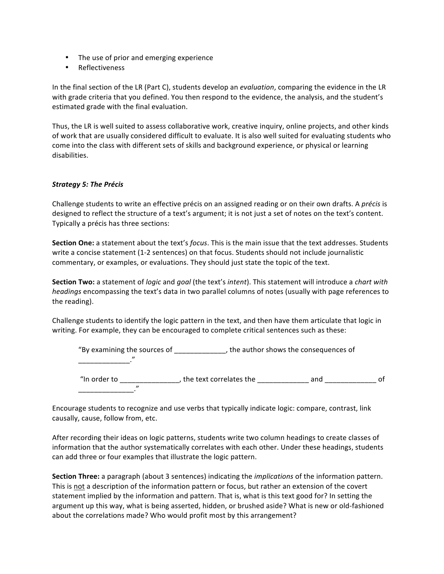- The use of prior and emerging experience
- Reflectiveness

In the final section of the LR (Part C), students develop an *evaluation*, comparing the evidence in the LR with grade criteria that you defined. You then respond to the evidence, the analysis, and the student's estimated grade with the final evaluation.

Thus, the LR is well suited to assess collaborative work, creative inquiry, online projects, and other kinds of work that are usually considered difficult to evaluate. It is also well suited for evaluating students who come into the class with different sets of skills and background experience, or physical or learning disabilities.

#### **Strategy 5: The Précis**

Challenge students to write an effective précis on an assigned reading or on their own drafts. A *précis* is designed to reflect the structure of a text's argument; it is not just a set of notes on the text's content. Typically a précis has three sections:

**Section One:** a statement about the text's *focus*. This is the main issue that the text addresses. Students write a concise statement (1-2 sentences) on that focus. Students should not include journalistic commentary, or examples, or evaluations. They should just state the topic of the text.

**Section Two:** a statement of *logic* and *goal* (the text's *intent*). This statement will introduce a *chart with headings* encompassing the text's data in two parallel columns of notes (usually with page references to the reading).

Challenge students to identify the logic pattern in the text, and then have them articulate that logic in writing. For example, they can be encouraged to complete critical sentences such as these:

| "By examining the sources of | , the author shows the consequences of |
|------------------------------|----------------------------------------|
|                              |                                        |
|                              |                                        |
|                              |                                        |

"In order to \_\_\_\_\_\_\_\_\_\_\_\_\_\_\_\_, the text correlates the \_\_\_\_\_\_\_\_\_\_\_\_\_\_\_ and \_\_\_\_\_\_\_\_\_\_\_\_\_\_\_\_ of \_\_\_\_\_\_\_\_\_\_\_\_\_\_." 

Encourage students to recognize and use verbs that typically indicate logic: compare, contrast, link causally, cause, follow from, etc.

After recording their ideas on logic patterns, students write two column headings to create classes of information that the author systematically correlates with each other. Under these headings, students can add three or four examples that illustrate the logic pattern.

**Section Three:** a paragraph (about 3 sentences) indicating the *implications* of the information pattern. This is not a description of the information pattern or focus, but rather an extension of the covert statement implied by the information and pattern. That is, what is this text good for? In setting the argument up this way, what is being asserted, hidden, or brushed aside? What is new or old-fashioned about the correlations made? Who would profit most by this arrangement?